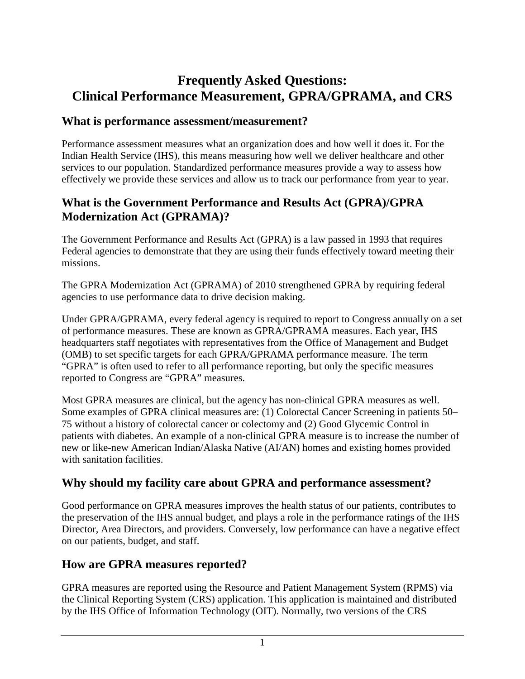# **Frequently Asked Questions: Clinical Performance Measurement, GPRA/GPRAMA, and CRS**

#### **What is performance assessment/measurement?**

Performance assessment measures what an organization does and how well it does it. For the Indian Health Service (IHS), this means measuring how well we deliver healthcare and other services to our population. Standardized performance measures provide a way to assess how effectively we provide these services and allow us to track our performance from year to year.

### **What is the Government Performance and Results Act (GPRA)/GPRA Modernization Act (GPRAMA)?**

The Government Performance and Results Act (GPRA) is a law passed in 1993 that requires Federal agencies to demonstrate that they are using their funds effectively toward meeting their missions.

The GPRA Modernization Act (GPRAMA) of 2010 strengthened GPRA by requiring federal agencies to use performance data to drive decision making.

Under GPRA/GPRAMA, every federal agency is required to report to Congress annually on a set of performance measures. These are known as GPRA/GPRAMA measures. Each year, IHS headquarters staff negotiates with representatives from the Office of Management and Budget (OMB) to set specific targets for each GPRA/GPRAMA performance measure. The term "GPRA" is often used to refer to all performance reporting, but only the specific measures reported to Congress are "GPRA" measures.

Most GPRA measures are clinical, but the agency has non-clinical GPRA measures as well. Some examples of GPRA clinical measures are: (1) Colorectal Cancer Screening in patients 50– 75 without a history of colorectal cancer or colectomy and (2) Good Glycemic Control in patients with diabetes. An example of a non-clinical GPRA measure is to increase the number of new or like-new American Indian/Alaska Native (AI/AN) homes and existing homes provided with sanitation facilities.

#### **Why should my facility care about GPRA and performance assessment?**

Good performance on GPRA measures improves the health status of our patients, contributes to the preservation of the IHS annual budget, and plays a role in the performance ratings of the IHS Director, Area Directors, and providers. Conversely, low performance can have a negative effect on our patients, budget, and staff.

#### **How are GPRA measures reported?**

GPRA measures are reported using the Resource and Patient Management System (RPMS) via the Clinical Reporting System (CRS) application. This application is maintained and distributed by the IHS Office of Information Technology (OIT). Normally, two versions of the CRS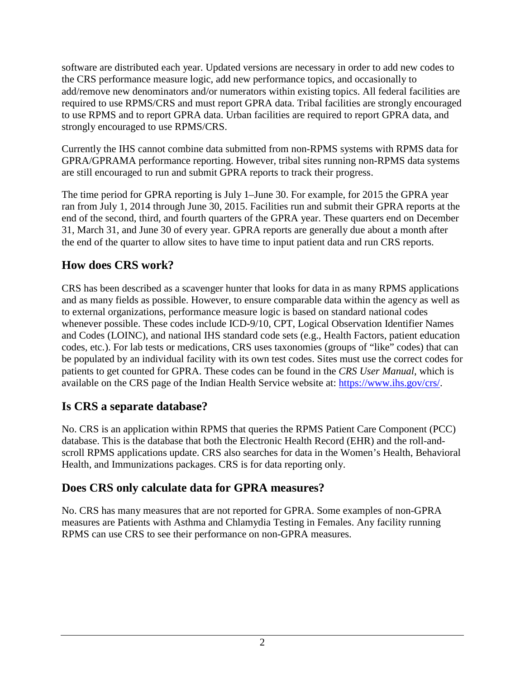software are distributed each year. Updated versions are necessary in order to add new codes to the CRS performance measure logic, add new performance topics, and occasionally to add/remove new denominators and/or numerators within existing topics. All federal facilities are required to use RPMS/CRS and must report GPRA data. Tribal facilities are strongly encouraged to use RPMS and to report GPRA data. Urban facilities are required to report GPRA data, and strongly encouraged to use RPMS/CRS.

Currently the IHS cannot combine data submitted from non-RPMS systems with RPMS data for GPRA/GPRAMA performance reporting. However, tribal sites running non-RPMS data systems are still encouraged to run and submit GPRA reports to track their progress.

The time period for GPRA reporting is July 1–June 30. For example, for 2015 the GPRA year ran from July 1, 2014 through June 30, 2015. Facilities run and submit their GPRA reports at the end of the second, third, and fourth quarters of the GPRA year. These quarters end on December 31, March 31, and June 30 of every year. GPRA reports are generally due about a month after the end of the quarter to allow sites to have time to input patient data and run CRS reports.

# **How does CRS work?**

CRS has been described as a scavenger hunter that looks for data in as many RPMS applications and as many fields as possible. However, to ensure comparable data within the agency as well as to external organizations, performance measure logic is based on standard national codes whenever possible. These codes include ICD-9/10, CPT, Logical Observation Identifier Names and Codes (LOINC), and national IHS standard code sets (e.g., Health Factors, patient education codes, etc.). For lab tests or medications, CRS uses taxonomies (groups of "like" codes) that can be populated by an individual facility with its own test codes. Sites must use the correct codes for patients to get counted for GPRA. These codes can be found in the *CRS User Manual*, which is available on the CRS page of the Indian Health Service website at: [https://www.ihs.gov/crs/.](https://www.ihs.gov/crs/)

# **Is CRS a separate database?**

No. CRS is an application within RPMS that queries the RPMS Patient Care Component (PCC) database. This is the database that both the Electronic Health Record (EHR) and the roll-andscroll RPMS applications update. CRS also searches for data in the Women's Health, Behavioral Health, and Immunizations packages. CRS is for data reporting only.

# **Does CRS only calculate data for GPRA measures?**

No. CRS has many measures that are not reported for GPRA. Some examples of non-GPRA measures are Patients with Asthma and Chlamydia Testing in Females. Any facility running RPMS can use CRS to see their performance on non-GPRA measures.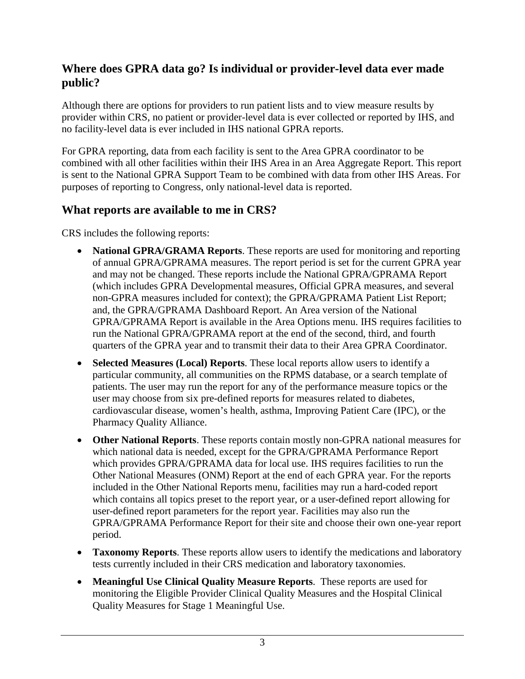### **Where does GPRA data go? Is individual or provider-level data ever made public?**

Although there are options for providers to run patient lists and to view measure results by provider within CRS, no patient or provider-level data is ever collected or reported by IHS, and no facility-level data is ever included in IHS national GPRA reports.

For GPRA reporting, data from each facility is sent to the Area GPRA coordinator to be combined with all other facilities within their IHS Area in an Area Aggregate Report. This report is sent to the National GPRA Support Team to be combined with data from other IHS Areas. For purposes of reporting to Congress, only national-level data is reported.

#### **What reports are available to me in CRS?**

CRS includes the following reports:

- **National GPRA/GRAMA Reports.** These reports are used for monitoring and reporting of annual GPRA/GPRAMA measures. The report period is set for the current GPRA year and may not be changed. These reports include the National GPRA/GPRAMA Report (which includes GPRA Developmental measures, Official GPRA measures, and several non-GPRA measures included for context); the GPRA/GPRAMA Patient List Report; and, the GPRA/GPRAMA Dashboard Report. An Area version of the National GPRA/GPRAMA Report is available in the Area Options menu. IHS requires facilities to run the National GPRA/GPRAMA report at the end of the second, third, and fourth quarters of the GPRA year and to transmit their data to their Area GPRA Coordinator.
- **Selected Measures (Local) Reports**. These local reports allow users to identify a particular community, all communities on the RPMS database, or a search template of patients. The user may run the report for any of the performance measure topics or the user may choose from six pre-defined reports for measures related to diabetes, cardiovascular disease, women's health, asthma, Improving Patient Care (IPC), or the Pharmacy Quality Alliance.
- **Other National Reports**. These reports contain mostly non-GPRA national measures for which national data is needed, except for the GPRA/GPRAMA Performance Report which provides GPRA/GPRAMA data for local use. IHS requires facilities to run the Other National Measures (ONM) Report at the end of each GPRA year. For the reports included in the Other National Reports menu, facilities may run a hard-coded report which contains all topics preset to the report year, or a user-defined report allowing for user-defined report parameters for the report year. Facilities may also run the GPRA/GPRAMA Performance Report for their site and choose their own one-year report period.
- **Taxonomy Reports**. These reports allow users to identify the medications and laboratory tests currently included in their CRS medication and laboratory taxonomies.
- **Meaningful Use Clinical Quality Measure Reports**. These reports are used for monitoring the Eligible Provider Clinical Quality Measures and the Hospital Clinical Quality Measures for Stage 1 Meaningful Use.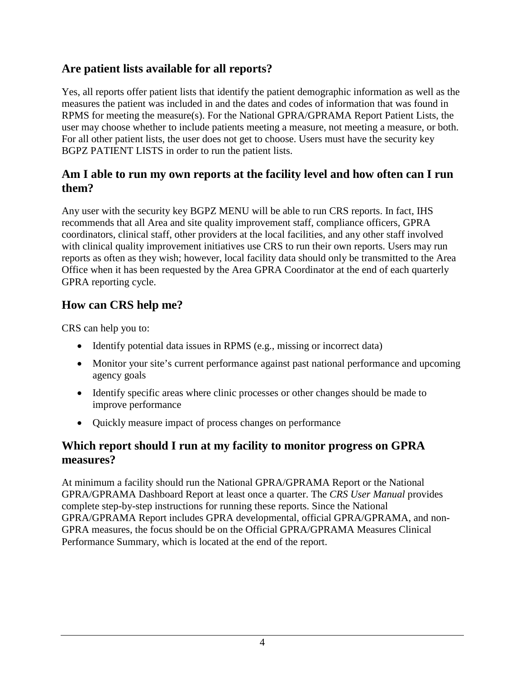### **Are patient lists available for all reports?**

Yes, all reports offer patient lists that identify the patient demographic information as well as the measures the patient was included in and the dates and codes of information that was found in RPMS for meeting the measure(s). For the National GPRA/GPRAMA Report Patient Lists, the user may choose whether to include patients meeting a measure, not meeting a measure, or both. For all other patient lists, the user does not get to choose. Users must have the security key BGPZ PATIENT LISTS in order to run the patient lists.

#### **Am I able to run my own reports at the facility level and how often can I run them?**

Any user with the security key BGPZ MENU will be able to run CRS reports. In fact, IHS recommends that all Area and site quality improvement staff, compliance officers, GPRA coordinators, clinical staff, other providers at the local facilities, and any other staff involved with clinical quality improvement initiatives use CRS to run their own reports. Users may run reports as often as they wish; however, local facility data should only be transmitted to the Area Office when it has been requested by the Area GPRA Coordinator at the end of each quarterly GPRA reporting cycle.

#### **How can CRS help me?**

CRS can help you to:

- Identify potential data issues in RPMS (e.g., missing or incorrect data)
- Monitor your site's current performance against past national performance and upcoming agency goals
- Identify specific areas where clinic processes or other changes should be made to improve performance
- Quickly measure impact of process changes on performance

#### **Which report should I run at my facility to monitor progress on GPRA measures?**

At minimum a facility should run the National GPRA/GPRAMA Report or the National GPRA/GPRAMA Dashboard Report at least once a quarter. The *CRS User Manual* provides complete step-by-step instructions for running these reports. Since the National GPRA/GPRAMA Report includes GPRA developmental, official GPRA/GPRAMA, and non-GPRA measures, the focus should be on the Official GPRA/GPRAMA Measures Clinical Performance Summary, which is located at the end of the report.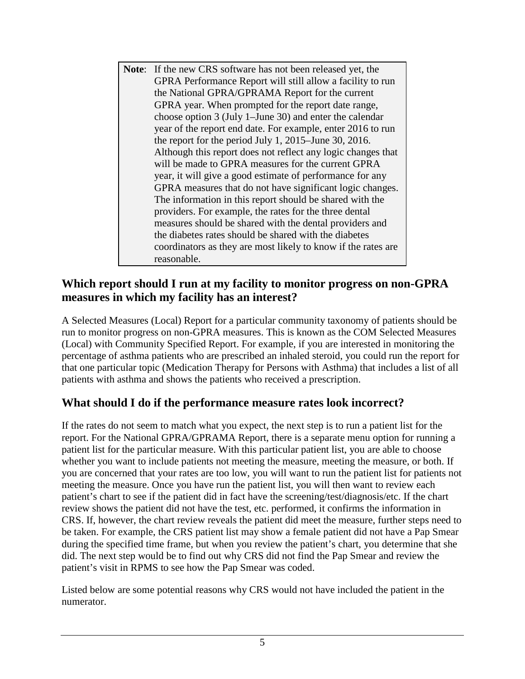**Note**: If the new CRS software has not been released yet, the GPRA Performance Report will still allow a facility to run the National GPRA/GPRAMA Report for the current GPRA year. When prompted for the report date range, choose option 3 (July 1–June 30) and enter the calendar year of the report end date. For example, enter 2016 to run the report for the period July 1, 2015–June 30, 2016. Although this report does not reflect any logic changes that will be made to GPRA measures for the current GPRA year, it will give a good estimate of performance for any GPRA measures that do not have significant logic changes. The information in this report should be shared with the providers. For example, the rates for the three dental measures should be shared with the dental providers and the diabetes rates should be shared with the diabetes coordinators as they are most likely to know if the rates are reasonable.

### **Which report should I run at my facility to monitor progress on non-GPRA measures in which my facility has an interest?**

A Selected Measures (Local) Report for a particular community taxonomy of patients should be run to monitor progress on non-GPRA measures. This is known as the COM Selected Measures (Local) with Community Specified Report. For example, if you are interested in monitoring the percentage of asthma patients who are prescribed an inhaled steroid, you could run the report for that one particular topic (Medication Therapy for Persons with Asthma) that includes a list of all patients with asthma and shows the patients who received a prescription.

# **What should I do if the performance measure rates look incorrect?**

If the rates do not seem to match what you expect, the next step is to run a patient list for the report. For the National GPRA/GPRAMA Report, there is a separate menu option for running a patient list for the particular measure. With this particular patient list, you are able to choose whether you want to include patients not meeting the measure, meeting the measure, or both. If you are concerned that your rates are too low, you will want to run the patient list for patients not meeting the measure. Once you have run the patient list, you will then want to review each patient's chart to see if the patient did in fact have the screening/test/diagnosis/etc. If the chart review shows the patient did not have the test, etc. performed, it confirms the information in CRS. If, however, the chart review reveals the patient did meet the measure, further steps need to be taken. For example, the CRS patient list may show a female patient did not have a Pap Smear during the specified time frame, but when you review the patient's chart, you determine that she did. The next step would be to find out why CRS did not find the Pap Smear and review the patient's visit in RPMS to see how the Pap Smear was coded.

Listed below are some potential reasons why CRS would not have included the patient in the numerator.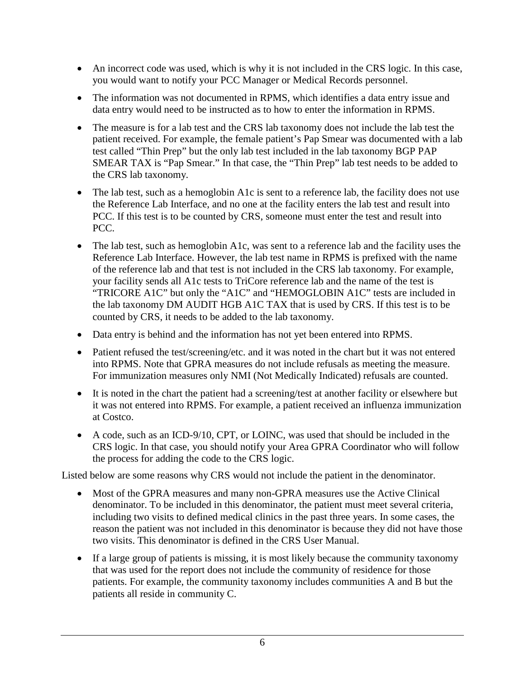- An incorrect code was used, which is why it is not included in the CRS logic. In this case, you would want to notify your PCC Manager or Medical Records personnel.
- The information was not documented in RPMS, which identifies a data entry issue and data entry would need to be instructed as to how to enter the information in RPMS.
- The measure is for a lab test and the CRS lab taxonomy does not include the lab test the patient received. For example, the female patient's Pap Smear was documented with a lab test called "Thin Prep" but the only lab test included in the lab taxonomy BGP PAP SMEAR TAX is "Pap Smear." In that case, the "Thin Prep" lab test needs to be added to the CRS lab taxonomy.
- The lab test, such as a hemoglobin A1c is sent to a reference lab, the facility does not use the Reference Lab Interface, and no one at the facility enters the lab test and result into PCC. If this test is to be counted by CRS, someone must enter the test and result into PCC.
- The lab test, such as hemoglobin A1c, was sent to a reference lab and the facility uses the Reference Lab Interface. However, the lab test name in RPMS is prefixed with the name of the reference lab and that test is not included in the CRS lab taxonomy. For example, your facility sends all A1c tests to TriCore reference lab and the name of the test is "TRICORE A1C" but only the "A1C" and "HEMOGLOBIN A1C" tests are included in the lab taxonomy DM AUDIT HGB A1C TAX that is used by CRS. If this test is to be counted by CRS, it needs to be added to the lab taxonomy.
- Data entry is behind and the information has not yet been entered into RPMS.
- Patient refused the test/screening/etc. and it was noted in the chart but it was not entered into RPMS. Note that GPRA measures do not include refusals as meeting the measure. For immunization measures only NMI (Not Medically Indicated) refusals are counted.
- It is noted in the chart the patient had a screening/test at another facility or elsewhere but it was not entered into RPMS. For example, a patient received an influenza immunization at Costco.
- A code, such as an ICD-9/10, CPT, or LOINC, was used that should be included in the CRS logic. In that case, you should notify your Area GPRA Coordinator who will follow the process for adding the code to the CRS logic.

Listed below are some reasons why CRS would not include the patient in the denominator.

- Most of the GPRA measures and many non-GPRA measures use the Active Clinical denominator. To be included in this denominator, the patient must meet several criteria, including two visits to defined medical clinics in the past three years. In some cases, the reason the patient was not included in this denominator is because they did not have those two visits. This denominator is defined in the CRS User Manual.
- If a large group of patients is missing, it is most likely because the community taxonomy that was used for the report does not include the community of residence for those patients. For example, the community taxonomy includes communities A and B but the patients all reside in community C.